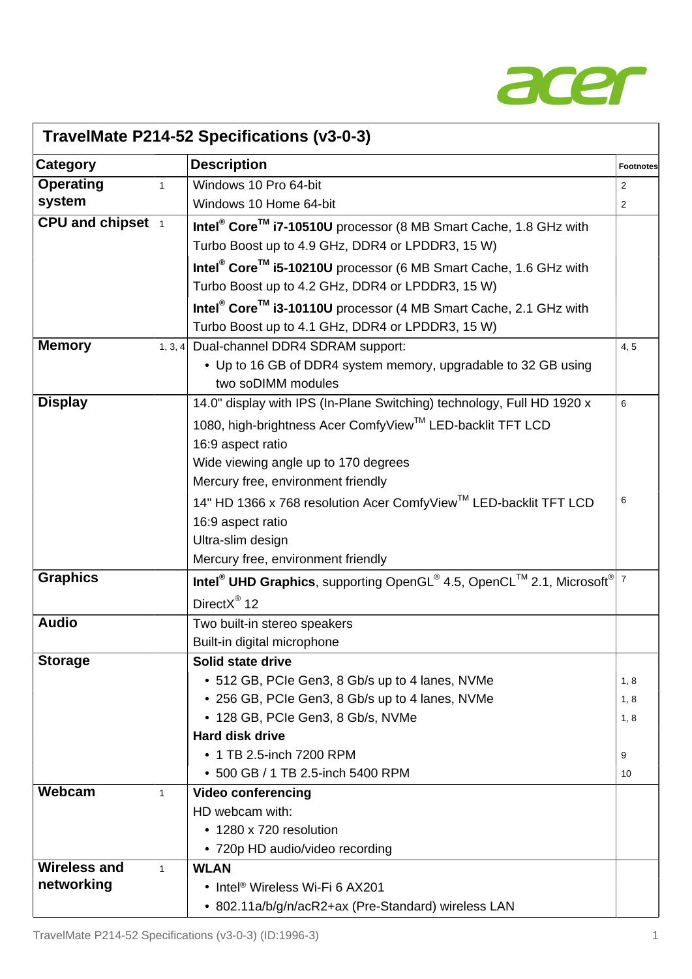

| TravelMate P214-52 Specifications (v3-0-3) |                                                                                                            |                  |  |  |
|--------------------------------------------|------------------------------------------------------------------------------------------------------------|------------------|--|--|
| Category                                   | <b>Description</b>                                                                                         | <b>Footnotes</b> |  |  |
| <b>Operating</b><br>$\mathbf{1}$           | Windows 10 Pro 64-bit                                                                                      | $\overline{2}$   |  |  |
| system                                     | Windows 10 Home 64-bit                                                                                     | 2                |  |  |
| CPU and chipset 1                          | Intel <sup>®</sup> Core <sup>™</sup> i7-10510U processor (8 MB Smart Cache, 1.8 GHz with                   |                  |  |  |
|                                            | Turbo Boost up to 4.9 GHz, DDR4 or LPDDR3, 15 W)                                                           |                  |  |  |
|                                            | Intel <sup>®</sup> Core <sup>™</sup> i5-10210U processor (6 MB Smart Cache, 1.6 GHz with                   |                  |  |  |
|                                            | Turbo Boost up to 4.2 GHz, DDR4 or LPDDR3, 15 W)                                                           |                  |  |  |
|                                            | Intel <sup>®</sup> Core <sup>™</sup> i3-10110U processor (4 MB Smart Cache, 2.1 GHz with                   |                  |  |  |
|                                            | Turbo Boost up to 4.1 GHz, DDR4 or LPDDR3, 15 W)                                                           |                  |  |  |
| <b>Memory</b>                              | 1, 3, 4 Dual-channel DDR4 SDRAM support:                                                                   | 4, 5             |  |  |
|                                            | • Up to 16 GB of DDR4 system memory, upgradable to 32 GB using                                             |                  |  |  |
|                                            | two soDIMM modules                                                                                         |                  |  |  |
| <b>Display</b>                             | 14.0" display with IPS (In-Plane Switching) technology, Full HD 1920 x                                     | 6                |  |  |
|                                            | 1080, high-brightness Acer ComfyView™ LED-backlit TFT LCD                                                  |                  |  |  |
|                                            | 16:9 aspect ratio                                                                                          |                  |  |  |
|                                            | Wide viewing angle up to 170 degrees                                                                       |                  |  |  |
|                                            | Mercury free, environment friendly                                                                         |                  |  |  |
|                                            | 14" HD 1366 x 768 resolution Acer ComfyView™ LED-backlit TFT LCD                                           | 6                |  |  |
|                                            | 16:9 aspect ratio                                                                                          |                  |  |  |
|                                            | Ultra-slim design                                                                                          |                  |  |  |
|                                            | Mercury free, environment friendly                                                                         |                  |  |  |
| <b>Graphics</b>                            | Intel <sup>®</sup> UHD Graphics, supporting OpenGL <sup>®</sup> 4.5, OpenCL™ 2.1, Microsoft <sup>®</sup> 7 |                  |  |  |
|                                            | DirectX® 12                                                                                                |                  |  |  |
| <b>Audio</b>                               | Two built-in stereo speakers                                                                               |                  |  |  |
|                                            | Built-in digital microphone                                                                                |                  |  |  |
| <b>Storage</b>                             | Solid state drive                                                                                          |                  |  |  |
|                                            | • 512 GB, PCIe Gen3, 8 Gb/s up to 4 lanes, NVMe                                                            | 1,8              |  |  |
|                                            | • 256 GB, PCIe Gen3, 8 Gb/s up to 4 lanes, NVMe                                                            | 1, 8             |  |  |
|                                            | • 128 GB, PCIe Gen3, 8 Gb/s, NVMe                                                                          | 1, 8             |  |  |
|                                            | <b>Hard disk drive</b>                                                                                     |                  |  |  |
|                                            | • 1 TB 2.5-inch 7200 RPM                                                                                   | 9                |  |  |
|                                            | • 500 GB / 1 TB 2.5-inch 5400 RPM                                                                          | 10               |  |  |
| Webcam<br>$\mathbf{1}$                     | <b>Video conferencing</b>                                                                                  |                  |  |  |
|                                            | HD webcam with:<br>• 1280 x 720 resolution                                                                 |                  |  |  |
|                                            |                                                                                                            |                  |  |  |
| <b>Wireless and</b><br>$\mathbf{1}$        | • 720p HD audio/video recording<br><b>WLAN</b>                                                             |                  |  |  |
| networking                                 | • Intel <sup>®</sup> Wireless Wi-Fi 6 AX201                                                                |                  |  |  |
|                                            | • 802.11a/b/g/n/acR2+ax (Pre-Standard) wireless LAN                                                        |                  |  |  |
|                                            |                                                                                                            |                  |  |  |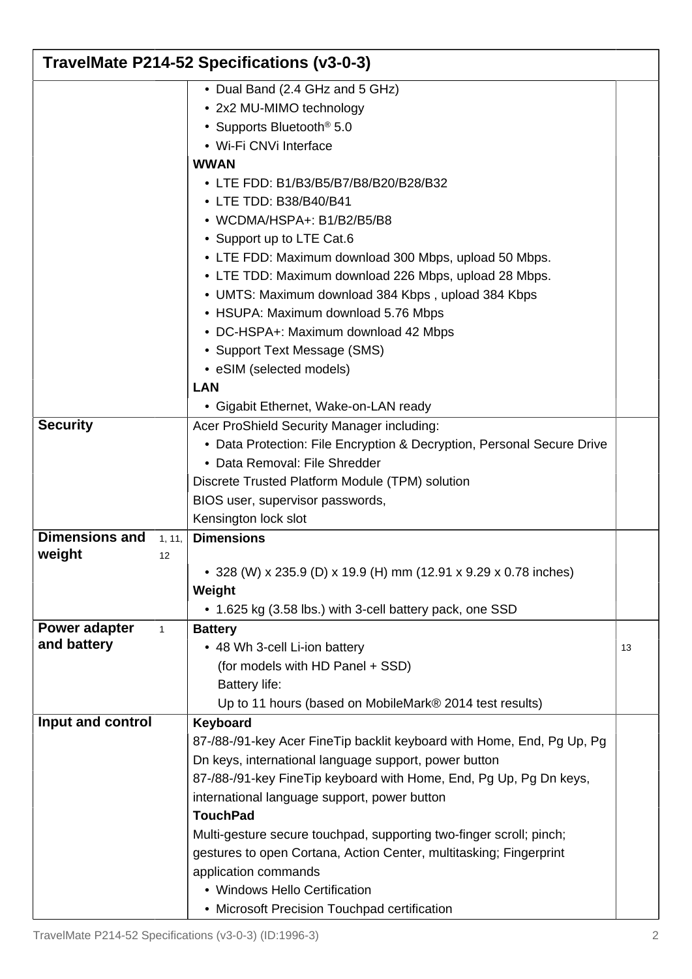|                       | TravelMate P214-52 Specifications (v3-0-3) |                                                                         |    |  |  |
|-----------------------|--------------------------------------------|-------------------------------------------------------------------------|----|--|--|
|                       |                                            | • Dual Band (2.4 GHz and 5 GHz)                                         |    |  |  |
|                       |                                            | • 2x2 MU-MIMO technology                                                |    |  |  |
|                       |                                            | • Supports Bluetooth <sup>®</sup> 5.0                                   |    |  |  |
|                       |                                            | • Wi-Fi CNVi Interface                                                  |    |  |  |
|                       |                                            | <b>WWAN</b>                                                             |    |  |  |
|                       |                                            | • LTE FDD: B1/B3/B5/B7/B8/B20/B28/B32                                   |    |  |  |
|                       |                                            | • LTE TDD: B38/B40/B41                                                  |    |  |  |
|                       |                                            | • WCDMA/HSPA+: B1/B2/B5/B8                                              |    |  |  |
|                       |                                            | • Support up to LTE Cat.6                                               |    |  |  |
|                       |                                            | • LTE FDD: Maximum download 300 Mbps, upload 50 Mbps.                   |    |  |  |
|                       |                                            | • LTE TDD: Maximum download 226 Mbps, upload 28 Mbps.                   |    |  |  |
|                       |                                            | • UMTS: Maximum download 384 Kbps, upload 384 Kbps                      |    |  |  |
|                       |                                            | • HSUPA: Maximum download 5.76 Mbps                                     |    |  |  |
|                       |                                            | • DC-HSPA+: Maximum download 42 Mbps                                    |    |  |  |
|                       |                                            | • Support Text Message (SMS)                                            |    |  |  |
|                       |                                            | • eSIM (selected models)                                                |    |  |  |
|                       |                                            | <b>LAN</b>                                                              |    |  |  |
|                       |                                            | • Gigabit Ethernet, Wake-on-LAN ready                                   |    |  |  |
| <b>Security</b>       |                                            | Acer ProShield Security Manager including:                              |    |  |  |
|                       |                                            | • Data Protection: File Encryption & Decryption, Personal Secure Drive  |    |  |  |
|                       |                                            | • Data Removal: File Shredder                                           |    |  |  |
|                       |                                            | Discrete Trusted Platform Module (TPM) solution                         |    |  |  |
|                       |                                            | BIOS user, supervisor passwords,                                        |    |  |  |
|                       |                                            | Kensington lock slot                                                    |    |  |  |
| <b>Dimensions and</b> | 1, 11,                                     | <b>Dimensions</b>                                                       |    |  |  |
| weight                | 12                                         |                                                                         |    |  |  |
|                       |                                            | • 328 (W) x 235.9 (D) x 19.9 (H) mm (12.91 x 9.29 x 0.78 inches)        |    |  |  |
|                       |                                            | Weight                                                                  |    |  |  |
|                       |                                            | • 1.625 kg (3.58 lbs.) with 3-cell battery pack, one SSD                |    |  |  |
| Power adapter         | $\mathbf{1}$                               | <b>Battery</b>                                                          |    |  |  |
| and battery           |                                            | • 48 Wh 3-cell Li-ion battery                                           | 13 |  |  |
|                       |                                            | (for models with HD Panel + SSD)                                        |    |  |  |
|                       |                                            | <b>Battery life:</b>                                                    |    |  |  |
|                       |                                            | Up to 11 hours (based on MobileMark® 2014 test results)                 |    |  |  |
| Input and control     |                                            | Keyboard                                                                |    |  |  |
|                       |                                            | 87-/88-/91-key Acer Fine Tip backlit keyboard with Home, End, Pg Up, Pg |    |  |  |
|                       |                                            | Dn keys, international language support, power button                   |    |  |  |
|                       |                                            | 87-/88-/91-key Fine Tip keyboard with Home, End, Pg Up, Pg Dn keys,     |    |  |  |
|                       |                                            | international language support, power button                            |    |  |  |
|                       |                                            | <b>TouchPad</b>                                                         |    |  |  |
|                       |                                            | Multi-gesture secure touchpad, supporting two-finger scroll; pinch;     |    |  |  |
|                       |                                            | gestures to open Cortana, Action Center, multitasking; Fingerprint      |    |  |  |
|                       |                                            | application commands                                                    |    |  |  |
|                       |                                            | • Windows Hello Certification                                           |    |  |  |
|                       |                                            | • Microsoft Precision Touchpad certification                            |    |  |  |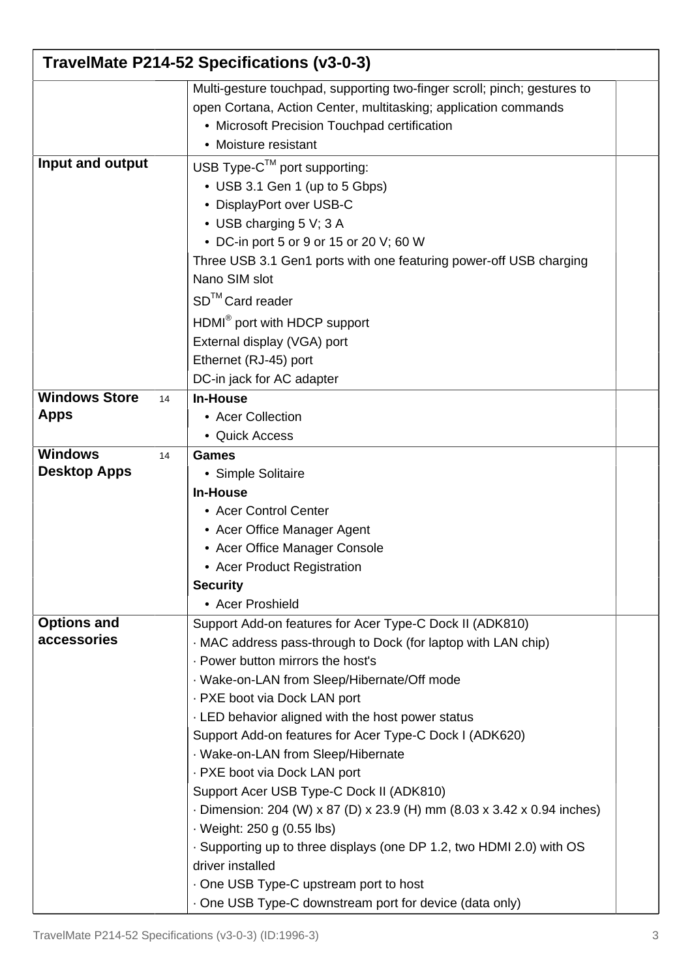| TravelMate P214-52 Specifications (v3-0-3)  |                                                                                                                                                                                                                                                                                                                                                                                                                                                                                                                                                                                                                                                                                                                                                                                         |  |  |  |
|---------------------------------------------|-----------------------------------------------------------------------------------------------------------------------------------------------------------------------------------------------------------------------------------------------------------------------------------------------------------------------------------------------------------------------------------------------------------------------------------------------------------------------------------------------------------------------------------------------------------------------------------------------------------------------------------------------------------------------------------------------------------------------------------------------------------------------------------------|--|--|--|
|                                             | Multi-gesture touchpad, supporting two-finger scroll; pinch; gestures to<br>open Cortana, Action Center, multitasking; application commands<br>• Microsoft Precision Touchpad certification<br>• Moisture resistant                                                                                                                                                                                                                                                                                                                                                                                                                                                                                                                                                                     |  |  |  |
| Input and output                            | USB Type- $C^{™}$ port supporting:<br>• USB 3.1 Gen 1 (up to 5 Gbps)<br>• DisplayPort over USB-C<br>• USB charging 5 V; 3 A<br>• DC-in port 5 or 9 or 15 or 20 V; 60 W<br>Three USB 3.1 Gen1 ports with one featuring power-off USB charging<br>Nano SIM slot<br>SD <sup>™</sup> Card reader<br>HDMI <sup>®</sup> port with HDCP support<br>External display (VGA) port<br>Ethernet (RJ-45) port<br>DC-in jack for AC adapter                                                                                                                                                                                                                                                                                                                                                           |  |  |  |
| <b>Windows Store</b><br>14<br><b>Apps</b>   | <b>In-House</b><br>• Acer Collection<br>• Quick Access                                                                                                                                                                                                                                                                                                                                                                                                                                                                                                                                                                                                                                                                                                                                  |  |  |  |
| <b>Windows</b><br>14<br><b>Desktop Apps</b> | Games<br>• Simple Solitaire<br><b>In-House</b><br>• Acer Control Center<br>• Acer Office Manager Agent<br>• Acer Office Manager Console<br>• Acer Product Registration<br><b>Security</b><br>• Acer Proshield                                                                                                                                                                                                                                                                                                                                                                                                                                                                                                                                                                           |  |  |  |
| <b>Options and</b><br>accessories           | Support Add-on features for Acer Type-C Dock II (ADK810)<br>MAC address pass-through to Dock (for laptop with LAN chip)<br>· Power button mirrors the host's<br>· Wake-on-LAN from Sleep/Hibernate/Off mode<br>- PXE boot via Dock LAN port<br>. LED behavior aligned with the host power status<br>Support Add-on features for Acer Type-C Dock I (ADK620)<br>· Wake-on-LAN from Sleep/Hibernate<br>- PXE boot via Dock LAN port<br>Support Acer USB Type-C Dock II (ADK810)<br>- Dimension: 204 (W) x 87 (D) x 23.9 (H) mm (8.03 x 3.42 x 0.94 inches)<br>· Weight: 250 g (0.55 lbs)<br>. Supporting up to three displays (one DP 1.2, two HDMI 2.0) with OS<br>driver installed<br>. One USB Type-C upstream port to host<br>· One USB Type-C downstream port for device (data only) |  |  |  |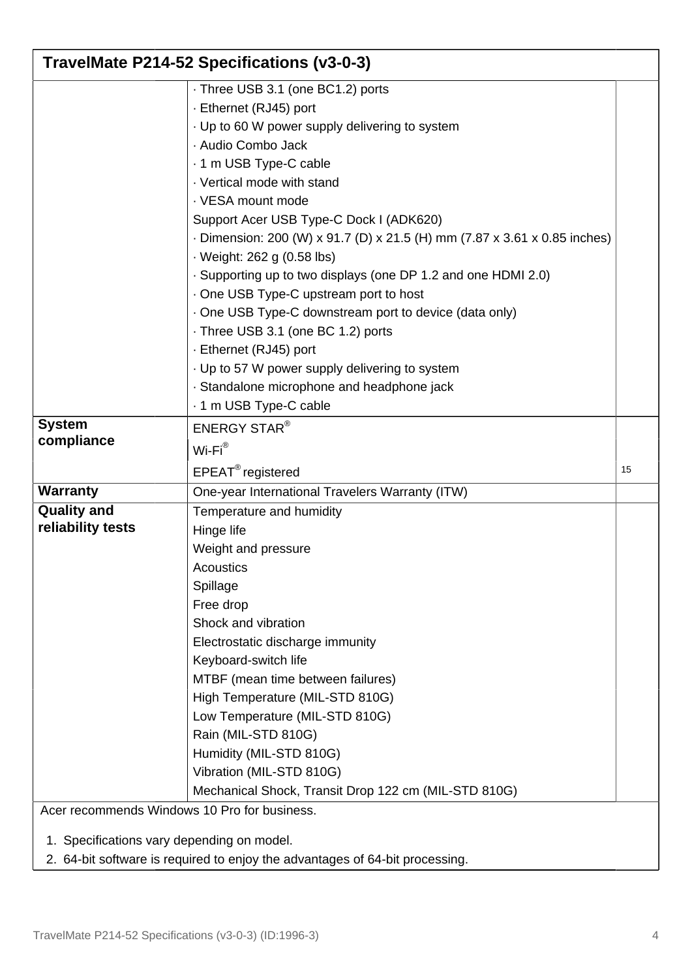| TravelMate P214-52 Specifications (v3-0-3)                                                                                 |                                                                           |    |  |  |
|----------------------------------------------------------------------------------------------------------------------------|---------------------------------------------------------------------------|----|--|--|
|                                                                                                                            | - Three USB 3.1 (one BC1.2) ports                                         |    |  |  |
|                                                                                                                            | - Ethernet (RJ45) port                                                    |    |  |  |
|                                                                                                                            | · Up to 60 W power supply delivering to system                            |    |  |  |
|                                                                                                                            | · Audio Combo Jack                                                        |    |  |  |
|                                                                                                                            | - 1 m USB Type-C cable                                                    |    |  |  |
|                                                                                                                            | · Vertical mode with stand                                                |    |  |  |
|                                                                                                                            | · VESA mount mode                                                         |    |  |  |
|                                                                                                                            | Support Acer USB Type-C Dock I (ADK620)                                   |    |  |  |
|                                                                                                                            | - Dimension: 200 (W) x 91.7 (D) x 21.5 (H) mm (7.87 x 3.61 x 0.85 inches) |    |  |  |
|                                                                                                                            | · Weight: 262 g (0.58 lbs)                                                |    |  |  |
|                                                                                                                            | . Supporting up to two displays (one DP 1.2 and one HDMI 2.0)             |    |  |  |
|                                                                                                                            | . One USB Type-C upstream port to host                                    |    |  |  |
|                                                                                                                            | · One USB Type-C downstream port to device (data only)                    |    |  |  |
|                                                                                                                            | · Three USB 3.1 (one BC 1.2) ports                                        |    |  |  |
|                                                                                                                            | · Ethernet (RJ45) port                                                    |    |  |  |
|                                                                                                                            | . Up to 57 W power supply delivering to system                            |    |  |  |
|                                                                                                                            | · Standalone microphone and headphone jack                                |    |  |  |
|                                                                                                                            | - 1 m USB Type-C cable                                                    |    |  |  |
| <b>System</b>                                                                                                              | <b>ENERGY STAR®</b>                                                       |    |  |  |
| compliance                                                                                                                 | $Wi-Fi^{\circledR}$                                                       |    |  |  |
|                                                                                                                            | $EPEAT^{\circledR}$ registered                                            | 15 |  |  |
| <b>Warranty</b>                                                                                                            | One-year International Travelers Warranty (ITW)                           |    |  |  |
| <b>Quality and</b>                                                                                                         | Temperature and humidity                                                  |    |  |  |
| reliability tests                                                                                                          | Hinge life                                                                |    |  |  |
|                                                                                                                            | Weight and pressure                                                       |    |  |  |
|                                                                                                                            | Acoustics                                                                 |    |  |  |
|                                                                                                                            | Spillage                                                                  |    |  |  |
|                                                                                                                            | Free drop                                                                 |    |  |  |
|                                                                                                                            | Shock and vibration                                                       |    |  |  |
|                                                                                                                            | Electrostatic discharge immunity                                          |    |  |  |
|                                                                                                                            | Keyboard-switch life                                                      |    |  |  |
|                                                                                                                            | MTBF (mean time between failures)                                         |    |  |  |
|                                                                                                                            | High Temperature (MIL-STD 810G)                                           |    |  |  |
|                                                                                                                            | Low Temperature (MIL-STD 810G)                                            |    |  |  |
|                                                                                                                            | Rain (MIL-STD 810G)                                                       |    |  |  |
|                                                                                                                            | Humidity (MIL-STD 810G)                                                   |    |  |  |
|                                                                                                                            | Vibration (MIL-STD 810G)                                                  |    |  |  |
|                                                                                                                            | Mechanical Shock, Transit Drop 122 cm (MIL-STD 810G)                      |    |  |  |
| Acer recommends Windows 10 Pro for business.                                                                               |                                                                           |    |  |  |
|                                                                                                                            |                                                                           |    |  |  |
| 1. Specifications vary depending on model.<br>2. 64-bit software is required to enjoy the advantages of 64-bit processing. |                                                                           |    |  |  |
|                                                                                                                            |                                                                           |    |  |  |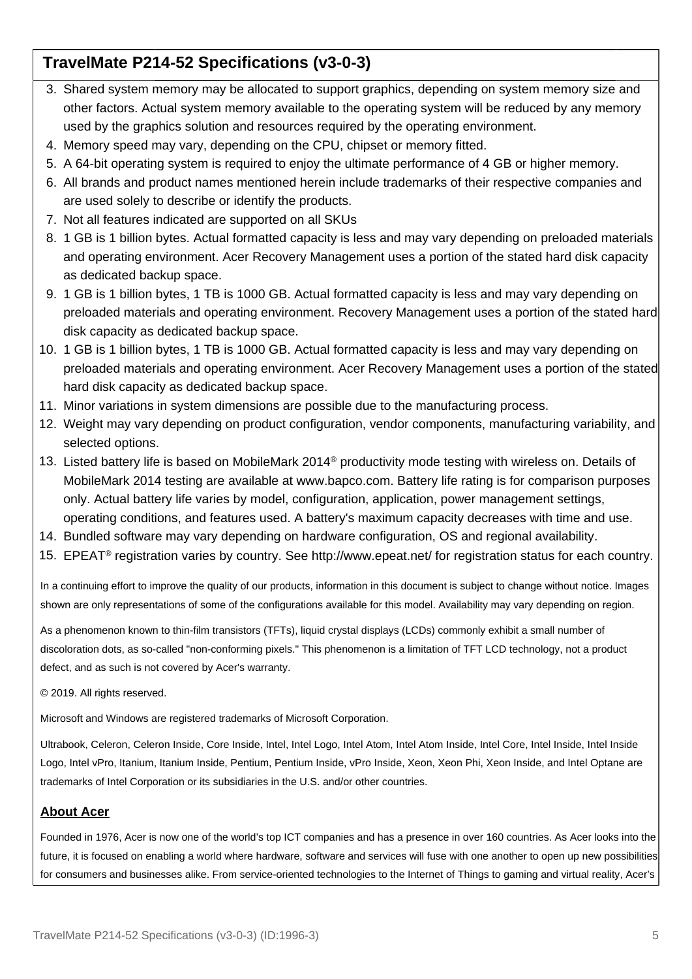## **TravelMate P214-52 Specifications (v3-0-3)**

- 3. Shared system memory may be allocated to support graphics, depending on system memory size and other factors. Actual system memory available to the operating system will be reduced by any memory used by the graphics solution and resources required by the operating environment.
- 4. Memory speed may vary, depending on the CPU, chipset or memory fitted.
- 5. A 64-bit operating system is required to enjoy the ultimate performance of 4 GB or higher memory.
- 6. All brands and product names mentioned herein include trademarks of their respective companies and are used solely to describe or identify the products.
- 7. Not all features indicated are supported on all SKUs
- 8. 1 GB is 1 billion bytes. Actual formatted capacity is less and may vary depending on preloaded materials and operating environment. Acer Recovery Management uses a portion of the stated hard disk capacity as dedicated backup space.
- 9. 1 GB is 1 billion bytes, 1 TB is 1000 GB. Actual formatted capacity is less and may vary depending on preloaded materials and operating environment. Recovery Management uses a portion of the stated hard disk capacity as dedicated backup space.
- 10. 1 GB is 1 billion bytes, 1 TB is 1000 GB. Actual formatted capacity is less and may vary depending on preloaded materials and operating environment. Acer Recovery Management uses a portion of the stated hard disk capacity as dedicated backup space.
- 11. Minor variations in system dimensions are possible due to the manufacturing process.
- 12. Weight may vary depending on product configuration, vendor components, manufacturing variability, and selected options.
- 13. Listed battery life is based on MobileMark 2014® productivity mode testing with wireless on. Details of MobileMark 2014 testing are available at www.bapco.com. Battery life rating is for comparison purposes only. Actual battery life varies by model, configuration, application, power management settings, operating conditions, and features used. A battery's maximum capacity decreases with time and use.
- 14. Bundled software may vary depending on hardware configuration, OS and regional availability.
- 15. EPEAT® registration varies by country. See http://www.epeat.net/ for registration status for each country.

In a continuing effort to improve the quality of our products, information in this document is subject to change without notice. Images shown are only representations of some of the configurations available for this model. Availability may vary depending on region.

As a phenomenon known to thin-film transistors (TFTs), liquid crystal displays (LCDs) commonly exhibit a small number of discoloration dots, as so-called "non-conforming pixels." This phenomenon is a limitation of TFT LCD technology, not a product defect, and as such is not covered by Acer's warranty.

© 2019. All rights reserved.

Microsoft and Windows are registered trademarks of Microsoft Corporation.

Ultrabook, Celeron, Celeron Inside, Core Inside, Intel, Intel Logo, Intel Atom, Intel Atom Inside, Intel Core, Intel Inside, Intel Inside Logo, Intel vPro, Itanium, Itanium Inside, Pentium, Pentium Inside, vPro Inside, Xeon, Xeon Phi, Xeon Inside, and Intel Optane are trademarks of Intel Corporation or its subsidiaries in the U.S. and/or other countries.

#### **About Acer**

Founded in 1976, Acer is now one of the world's top ICT companies and has a presence in over 160 countries. As Acer looks into the future, it is focused on enabling a world where hardware, software and services will fuse with one another to open up new possibilities for consumers and businesses alike. From service-oriented technologies to the Internet of Things to gaming and virtual reality, Acer's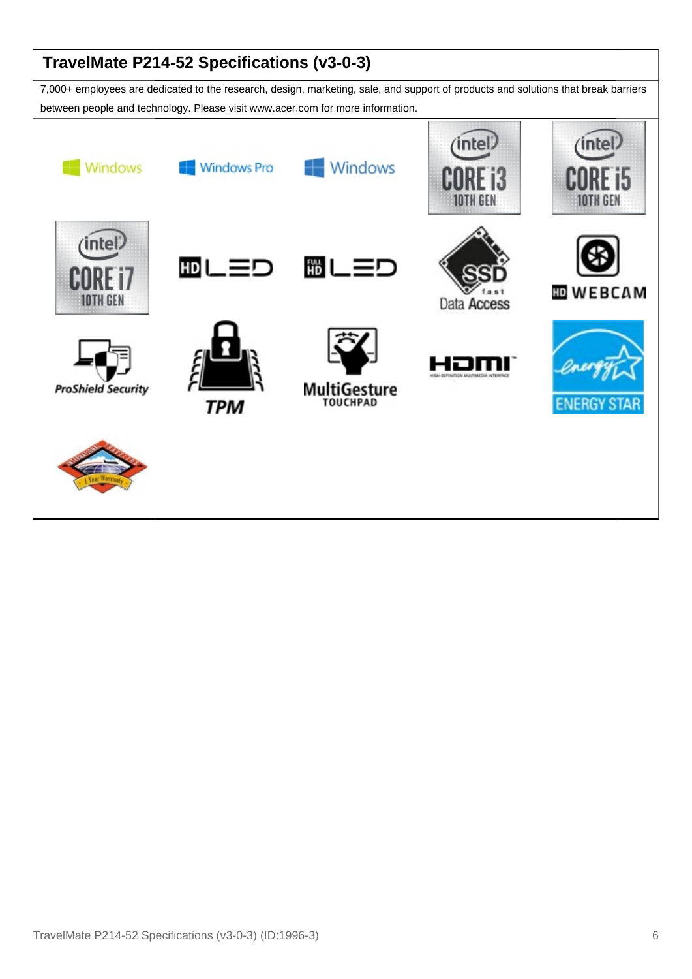